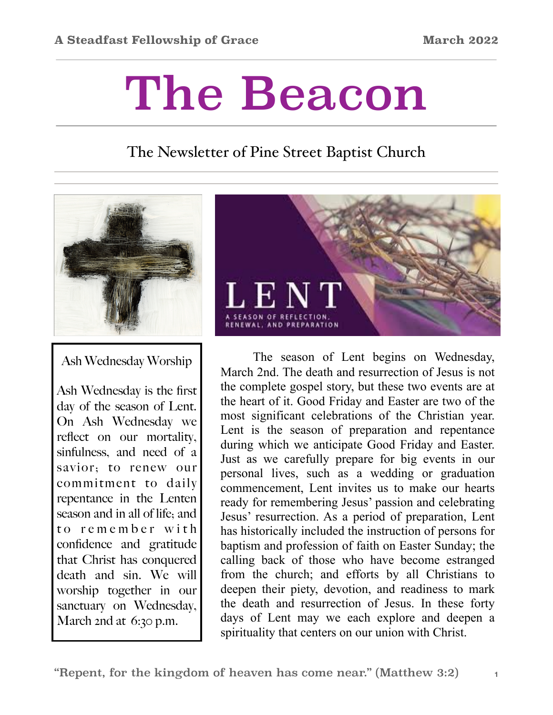# The Beacon

## The Newsletter of Pine Street Baptist Church



Ash Wednesday Worship

Ash Wednesday is the first day of the season of Lent. On Ash Wednesday we reflect on our mortality, sinfulness, and need of a savior; to renew our commitment to daily repentance in the Lenten season and in all of life; and to remember with confidence and gratitude that Christ has conquered death and sin. We will worship together in our sanctuary on Wednesday, March 2nd at 6:30 p.m.



The season of Lent begins on Wednesday, March 2nd. The death and resurrection of Jesus is not the complete gospel story, but these two events are at the heart of it. Good Friday and Easter are two of the most significant celebrations of the Christian year. Lent is the season of preparation and repentance during which we anticipate Good Friday and Easter. Just as we carefully prepare for big events in our personal lives, such as a wedding or graduation commencement, Lent invites us to make our hearts ready for remembering Jesus' passion and celebrating Jesus' resurrection. As a period of preparation, Lent has historically included the instruction of persons for baptism and profession of faith on Easter Sunday; the calling back of those who have become estranged from the church; and efforts by all Christians to deepen their piety, devotion, and readiness to mark the death and resurrection of Jesus. In these forty days of Lent may we each explore and deepen a spirituality that centers on our union with Christ.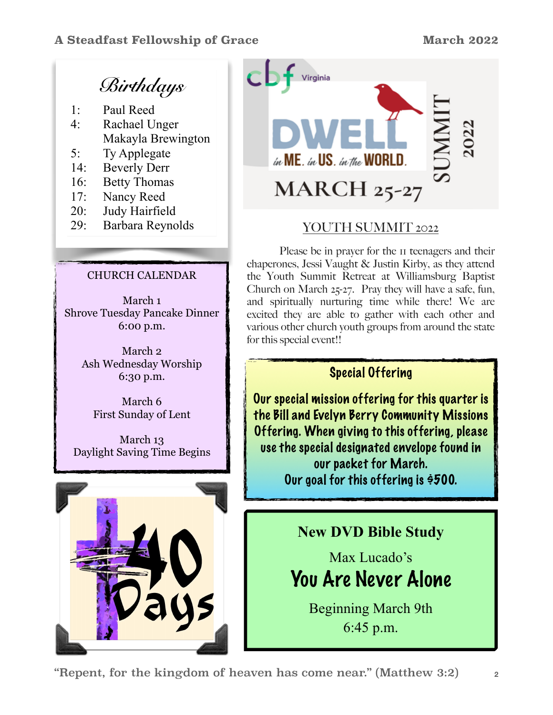# *Birthdays*

- 1: Paul Reed
- 4: Rachael Unger Makayla Brewington
- 5: Ty Applegate
- 14: Beverly Derr
- 16: Betty Thomas
- 17: Nancy Reed
- 20: Judy Hairfield
- 29: Barbara Reynolds

#### CHURCH CALENDAR

March 1 Shrove Tuesday Pancake Dinner 6:00 p.m.

> March 2 Ash Wednesday Worship 6:30 p.m.

March 6 First Sunday of Lent

March 13 Daylight Saving Time Begins





## YOUTH SUMMIT 2022

 Please be in prayer for the 11 teenagers and their chaperones, Jessi Vaught & Justin Kirby, as they attend the Youth Summit Retreat at Williamsburg Baptist Church on March 25-27. Pray they will have a safe, fun, and spiritually nurturing time while there! We are excited they are able to gather with each other and various other church youth groups from around the state for this special event!!

## Special Offering

Our special mission offering for this quarter is the Bill and Evelyn Berry Community Missions Offering. When giving to this offering, please use the special designated envelope found in our packet for March. Our goal for this offering is  $\dot{\varphi}$ 500.

# **New DVD Bible Study**

Max Lucado's You Are Never Alone

> Beginning March 9th 6:45 p.m.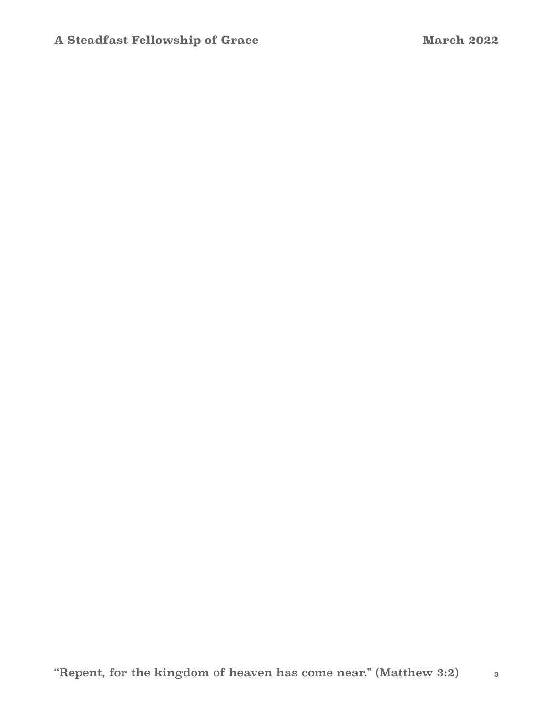"Repent, for the kingdom of heaven has come near." (Matthew 3:2) **<sup>3</sup>**